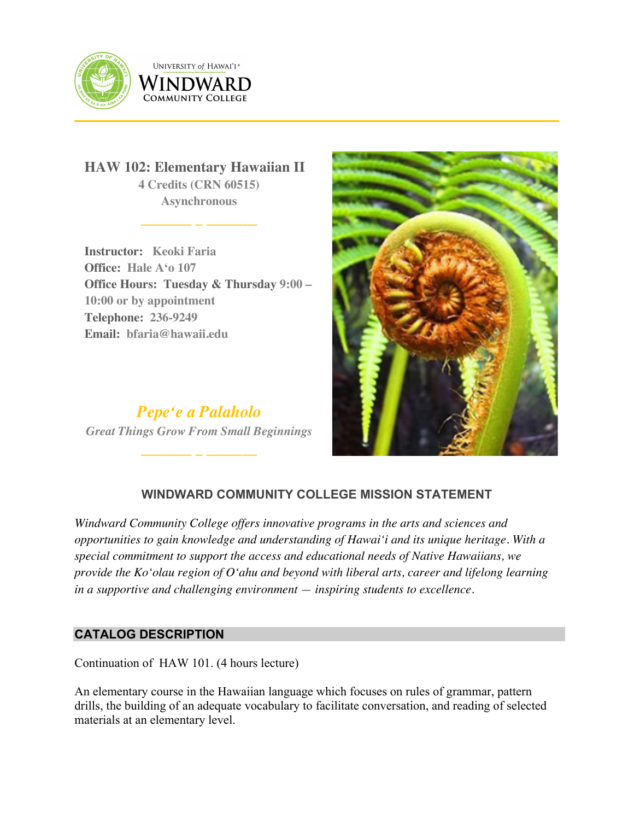



**HAW 102: Elementary Hawaiian II 4 Credits (CRN 60515) Asynchronous**

**\_\_\_\_\_\_\_ \_ \_\_\_\_\_\_\_**

**Instructor: Keoki Faria Office: Hale Aʻo 107 Office Hours: Tuesday & Thursday 9:00 – 10:00 or by appointment Telephone: 236-9249 Email: bfaria@hawaii.edu**

*Pepeʻe a Palaholo Great Things Grow From Small Beginnings*

**\_\_\_\_\_\_\_ \_ \_\_\_\_\_\_\_**

102 ELEMENTARY HAWAIIAN III ANG KABUPATÈN SA PANG-ALEM



# **WINDWARD COMMUNITY COLLEGE MISSION STATEMENT**

*Windward Community College offers innovative programs in the arts and sciences and opportunities to gain knowledge and understanding of Hawai'i and its unique heritage. With a special commitment to support the access and educational needs of Native Hawaiians, we provide the Ko'olau region of Oʻahu and beyond with liberal arts, career and lifelong learning in a supportive and challenging environment — inspiring students to excellence.*

## **CATALOG DESCRIPTION**

Continuation of HAW 101. (4 hours lecture)

An elementary course in the Hawaiian language which focuses on rules of grammar, pattern drills, the building of an adequate vocabulary to facilitate conversation, and reading of selected materials at an elementary level.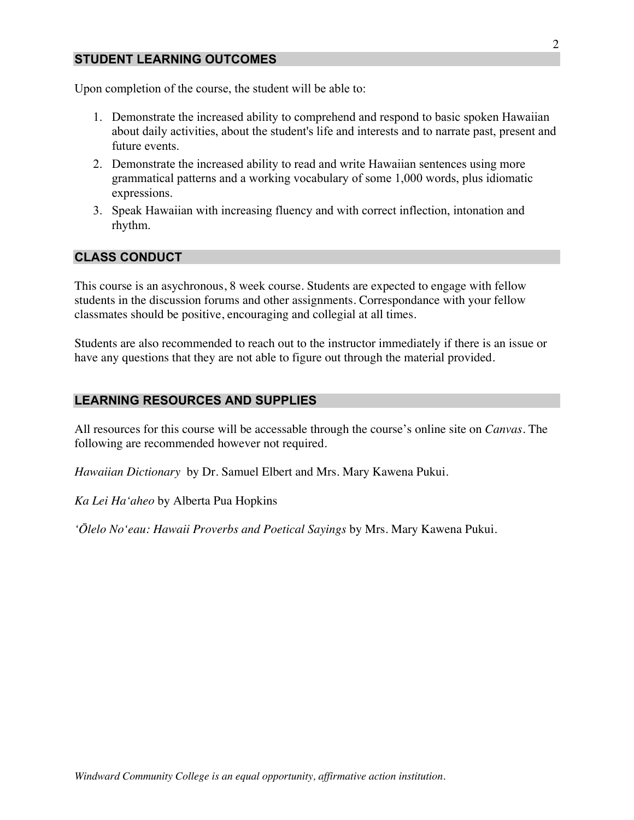## **STUDENT LEARNING OUTCOMES**

Upon completion of the course, the student will be able to:

- 1. Demonstrate the increased ability to comprehend and respond to basic spoken Hawaiian about daily activities, about the student's life and interests and to narrate past, present and future events.
- 2. Demonstrate the increased ability to read and write Hawaiian sentences using more grammatical patterns and a working vocabulary of some 1,000 words, plus idiomatic expressions.
- 3. Speak Hawaiian with increasing fluency and with correct inflection, intonation and rhythm.

## **CLASS CONDUCT**

This course is an asychronous, 8 week course. Students are expected to engage with fellow students in the discussion forums and other assignments. Correspondance with your fellow classmates should be positive, encouraging and collegial at all times.

Students are also recommended to reach out to the instructor immediately if there is an issue or have any questions that they are not able to figure out through the material provided.

## **LEARNING RESOURCES AND SUPPLIES**

All resources for this course will be accessable through the course's online site on *Canvas*. The following are recommended however not required.

*Hawaiian Dictionary* by Dr. Samuel Elbert and Mrs. Mary Kawena Pukui.

*Ka Lei Haʻaheo* by Alberta Pua Hopkins

*ʻŌlelo Noʻeau: Hawaii Proverbs and Poetical Sayings* by Mrs. Mary Kawena Pukui.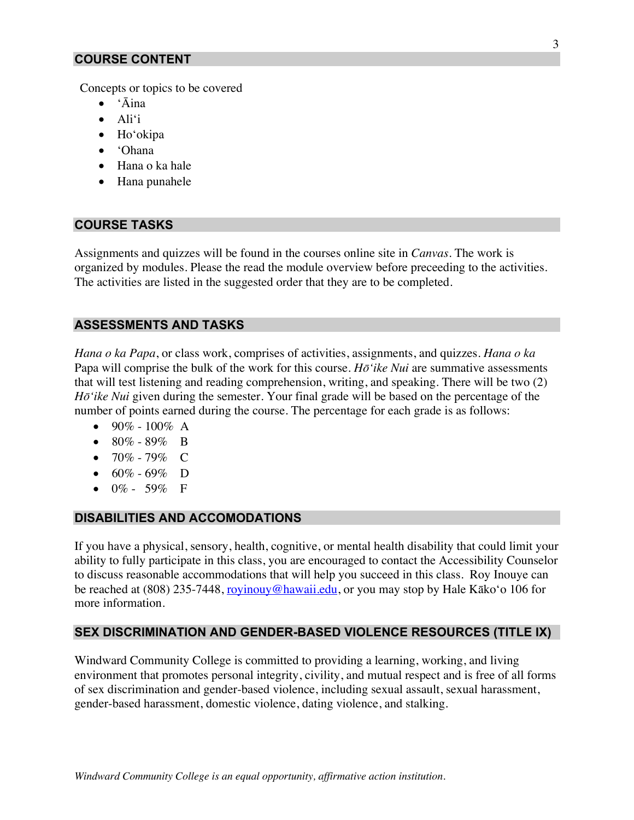### **COURSE CONTENT**

Concepts or topics to be covered

- ʻĀina
- Aliʻi
- Hoʻokipa
- ʻOhana
- Hana o ka hale
- Hana punahele

#### **COURSE TASKS**

Assignments and quizzes will be found in the courses online site in *Canvas*. The work is organized by modules. Please the read the module overview before preceeding to the activities. The activities are listed in the suggested order that they are to be completed.

### **ASSESSMENTS AND TASKS**

*Hana o ka Papa*, or class work, comprises of activities, assignments, and quizzes. *Hana o ka*  Papa will comprise the bulk of the work for this course. *Hōʻike Nui* are summative assessments that will test listening and reading comprehension, writing, and speaking. There will be two (2) *Hōʻike Nui* given during the semester. Your final grade will be based on the percentage of the number of points earned during the course. The percentage for each grade is as follows:

- 90% 100% A
- $80\% 89\%$  B
- 70% 79% C
- $60\% 69\%$  D
- $0\%$  59% F

#### **DISABILITIES AND ACCOMODATIONS**

If you have a physical, sensory, health, cognitive, or mental health disability that could limit your ability to fully participate in this class, you are encouraged to contact the Accessibility Counselor to discuss reasonable accommodations that will help you succeed in this class. Roy Inouye can be reached at (808) 235-7448, royinouy@hawaii.edu, or you may stop by Hale Kāko'o 106 for more information.

#### **SEX DISCRIMINATION AND GENDER-BASED VIOLENCE RESOURCES (TITLE IX)**

Windward Community College is committed to providing a learning, working, and living environment that promotes personal integrity, civility, and mutual respect and is free of all forms of sex discrimination and gender-based violence, including sexual assault, sexual harassment, gender-based harassment, domestic violence, dating violence, and stalking.